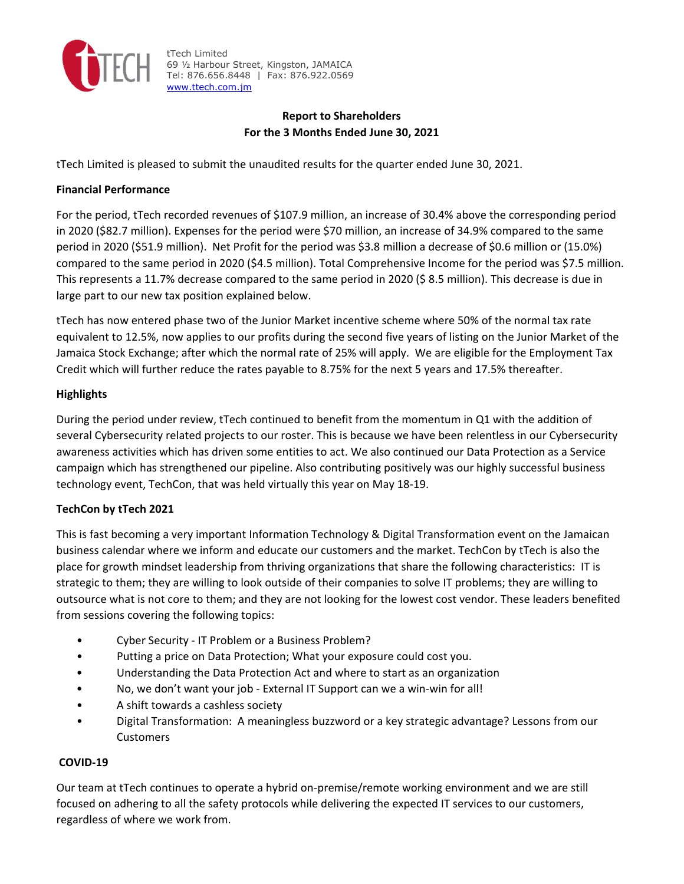

tTech Limited 69 ½ Harbour Street, Kingston, JAMAICA Tel: 876.656.8448 | Fax: 876.922.0569 www.ttech.com.jm

## **Report to Shareholders For the 3 Months Ended June 30, 2021**

tTech Limited is pleased to submit the unaudited results for the quarter ended June 30, 2021.

### **Financial Performance**

For the period, tTech recorded revenues of \$107.9 million, an increase of 30.4% above the corresponding period in 2020 (\$82.7 million). Expenses for the period were \$70 million, an increase of 34.9% compared to the same period in 2020 (\$51.9 million). Net Profit for the period was \$3.8 million a decrease of \$0.6 million or (15.0%) compared to the same period in 2020 (\$4.5 million). Total Comprehensive Income for the period was \$7.5 million. This represents a 11.7% decrease compared to the same period in 2020 (\$ 8.5 million). This decrease is due in large part to our new tax position explained below.

tTech has now entered phase two of the Junior Market incentive scheme where 50% of the normal tax rate equivalent to 12.5%, now applies to our profits during the second five years of listing on the Junior Market of the Jamaica Stock Exchange; after which the normal rate of 25% will apply. We are eligible for the Employment Tax Credit which will further reduce the rates payable to 8.75% for the next 5 years and 17.5% thereafter.

## **Highlights**

During the period under review, tTech continued to benefit from the momentum in Q1 with the addition of several Cybersecurity related projects to our roster. This is because we have been relentless in our Cybersecurity awareness activities which has driven some entities to act. We also continued our Data Protection as a Service campaign which has strengthened our pipeline. Also contributing positively was our highly successful business technology event, TechCon, that was held virtually this year on May 18‐19.

## **TechCon by tTech 2021**

This is fast becoming a very important Information Technology & Digital Transformation event on the Jamaican business calendar where we inform and educate our customers and the market. TechCon by tTech is also the place for growth mindset leadership from thriving organizations that share the following characteristics: IT is strategic to them; they are willing to look outside of their companies to solve IT problems; they are willing to outsource what is not core to them; and they are not looking for the lowest cost vendor. These leaders benefited from sessions covering the following topics:

- Cyber Security ‐ IT Problem or a Business Problem?
- Putting a price on Data Protection; What your exposure could cost you.
- Understanding the Data Protection Act and where to start as an organization
- No, we don't want your job ‐ External IT Support can we a win‐win for all!
- A shift towards a cashless society
- Digital Transformation: A meaningless buzzword or a key strategic advantage? Lessons from our Customers

## **COVID‐19**

Our team at tTech continues to operate a hybrid on‐premise/remote working environment and we are still focused on adhering to all the safety protocols while delivering the expected IT services to our customers, regardless of where we work from.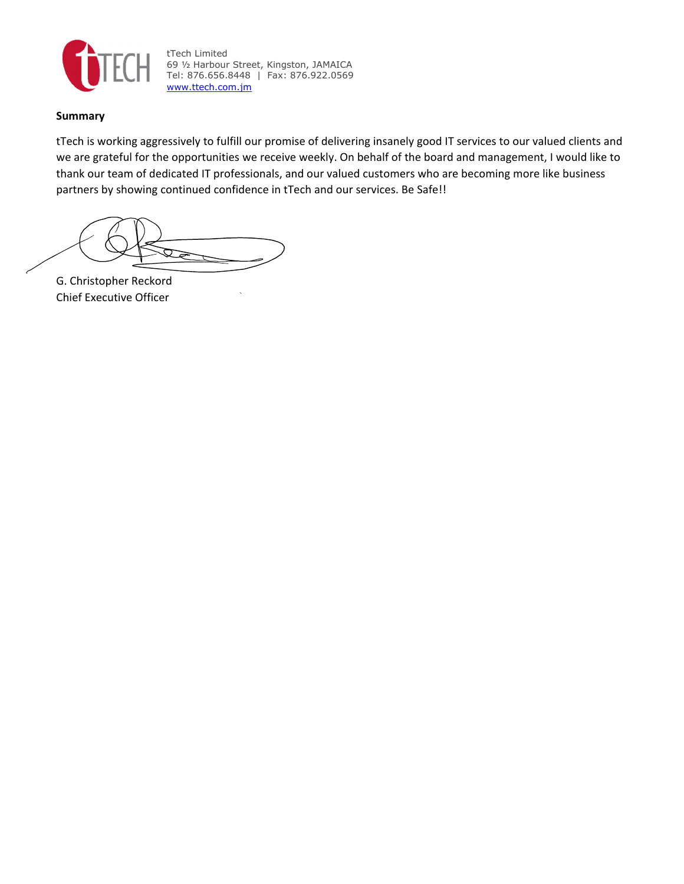

tTech Limited 69 ½ Harbour Street, Kingston, JAMAICA Tel: 876.656.8448 | Fax: 876.922.0569 www.ttech.com.jm

## **Summary**

tTech is working aggressively to fulfill our promise of delivering insanely good IT services to our valued clients and we are grateful for the opportunities we receive weekly. On behalf of the board and management, I would like to thank our team of dedicated IT professionals, and our valued customers who are becoming more like business partners by showing continued confidence in tTech and our services. Be Safe!!

ফ

G. Christopher Reckord Chief Executive Officer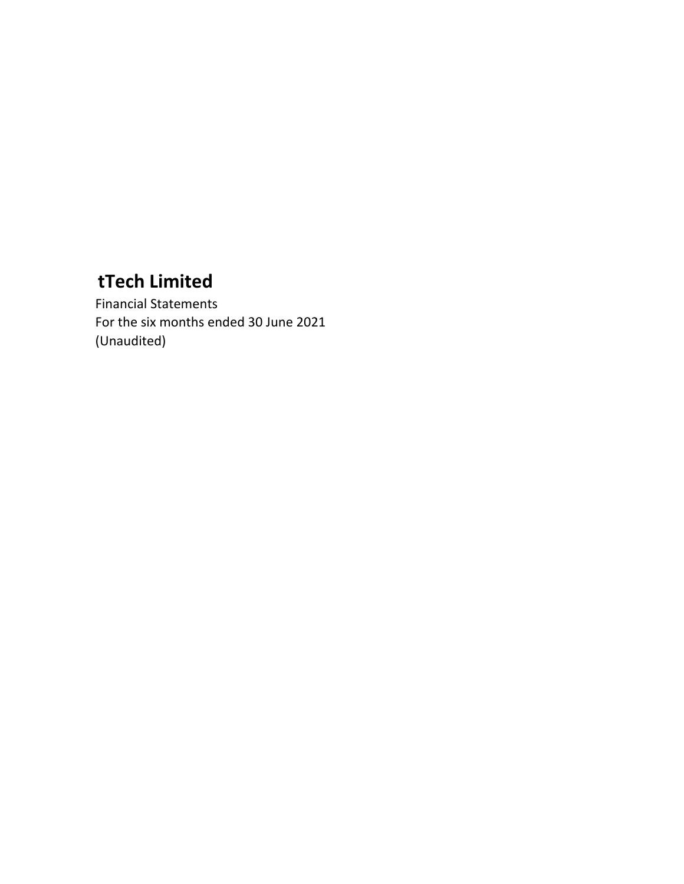Financial Statements For the six months ended 30 June 2021 (Unaudited)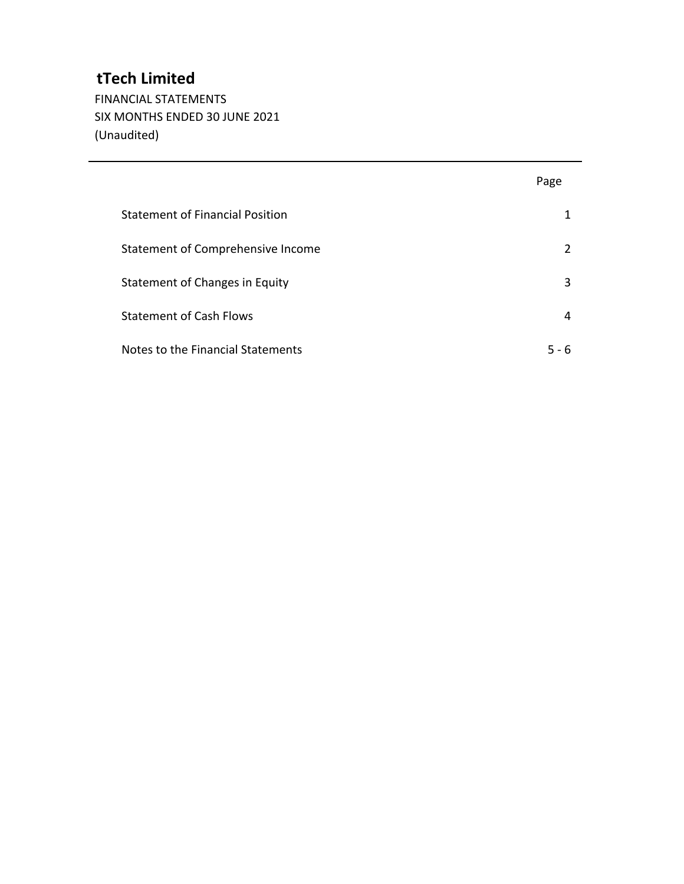FINANCIAL STATEMENTS SIX MONTHS ENDED 30 JUNE 2021 (Unaudited)

|                                        | Page  |
|----------------------------------------|-------|
| <b>Statement of Financial Position</b> | 1     |
| Statement of Comprehensive Income      | 2     |
| Statement of Changes in Equity         | 3     |
| <b>Statement of Cash Flows</b>         | 4     |
| Notes to the Financial Statements      | 5 - 6 |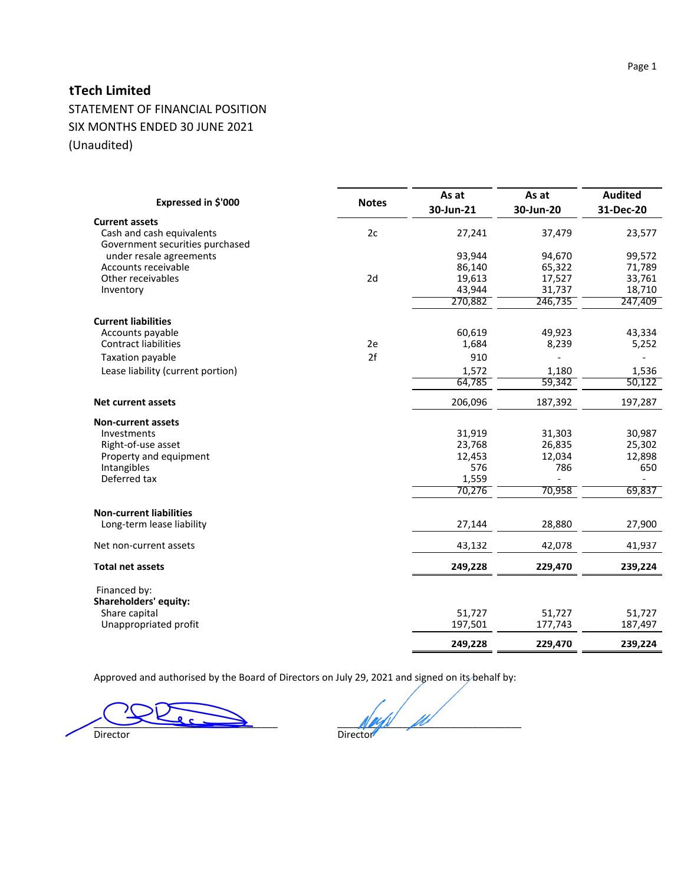STATEMENT OF FINANCIAL POSITION SIX MONTHS ENDED 30 JUNE 2021 (Unaudited)

| Expressed in \$'000                                          | <b>Notes</b> | As at<br>30-Jun-21 | As at<br>30-Jun-20 | <b>Audited</b><br>31-Dec-20 |
|--------------------------------------------------------------|--------------|--------------------|--------------------|-----------------------------|
| <b>Current assets</b>                                        |              |                    |                    |                             |
| Cash and cash equivalents<br>Government securities purchased | 2c           | 27,241             | 37,479             | 23,577                      |
| under resale agreements                                      |              | 93,944             | 94,670             | 99,572                      |
| Accounts receivable                                          |              | 86,140             | 65,322             | 71,789                      |
| Other receivables                                            | 2d           | 19,613             | 17,527             | 33,761                      |
| Inventory                                                    |              | 43,944             | 31,737             | 18,710                      |
|                                                              |              | 270,882            | 246,735            | 247,409                     |
| <b>Current liabilities</b>                                   |              |                    |                    |                             |
| Accounts payable                                             |              | 60,619             | 49,923             | 43,334                      |
| <b>Contract liabilities</b>                                  | 2e           | 1,684              | 8,239              | 5,252                       |
| Taxation payable                                             | 2f           | 910                |                    |                             |
| Lease liability (current portion)                            |              | 1,572              | 1,180              | 1,536                       |
|                                                              |              | 64,785             | 59,342             | 50,122                      |
| Net current assets                                           |              | 206,096            | 187,392            | 197,287                     |
| <b>Non-current assets</b>                                    |              |                    |                    |                             |
| Investments                                                  |              | 31,919             | 31,303             | 30,987                      |
| Right-of-use asset                                           |              | 23,768             | 26,835             | 25,302                      |
| Property and equipment                                       |              | 12,453             | 12,034             | 12,898                      |
| Intangibles                                                  |              | 576                | 786                | 650                         |
| Deferred tax                                                 |              | 1,559              |                    |                             |
|                                                              |              | 70,276             | 70,958             | 69,837                      |
| <b>Non-current liabilities</b>                               |              |                    |                    |                             |
| Long-term lease liability                                    |              | 27,144             | 28,880             | 27,900                      |
| Net non-current assets                                       |              | 43,132             | 42,078             | 41,937                      |
| <b>Total net assets</b>                                      |              | 249,228            | 229,470            | 239,224                     |
| Financed by:                                                 |              |                    |                    |                             |
| Shareholders' equity:                                        |              |                    |                    |                             |
| Share capital                                                |              | 51,727             | 51,727             | 51,727                      |
| Unappropriated profit                                        |              | 197,501            | 177,743            | 187,497                     |
|                                                              |              | 249,228            | 229,470            | 239,224                     |

Approved and authorised by the Board of Directors on July 29, 2021 and signed on its behalf by:

 $\frac{1}{\text{Direction}}$   $\frac{1}{\text{Direction}}$   $\frac{1}{\text{Diractor}}$ Director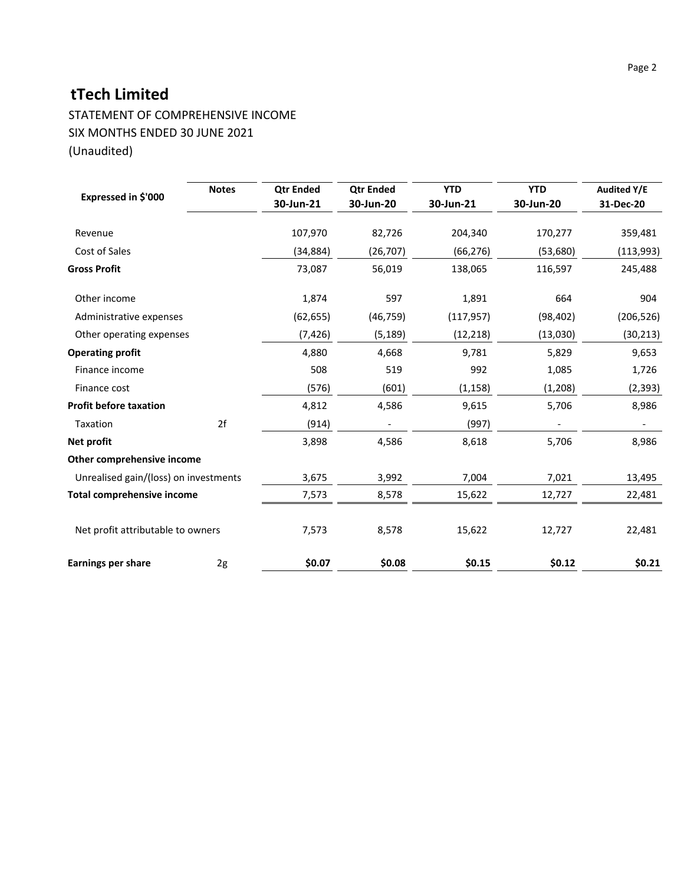STATEMENT OF COMPREHENSIVE INCOME SIX MONTHS ENDED 30 JUNE 2021 (Unaudited)

| Expressed in \$'000                   | <b>Notes</b> | <b>Qtr Ended</b><br>30-Jun-21 | <b>Qtr Ended</b><br>30-Jun-20 | <b>YTD</b><br>30-Jun-21 | <b>YTD</b><br>30-Jun-20 | <b>Audited Y/E</b><br>31-Dec-20 |
|---------------------------------------|--------------|-------------------------------|-------------------------------|-------------------------|-------------------------|---------------------------------|
| Revenue                               |              | 107,970                       | 82,726                        | 204,340                 | 170,277                 | 359,481                         |
| Cost of Sales                         |              | (34, 884)                     | (26, 707)                     | (66, 276)               | (53,680)                | (113, 993)                      |
| <b>Gross Profit</b>                   |              | 73,087                        | 56,019                        | 138,065                 | 116,597                 | 245,488                         |
| Other income                          |              | 1,874                         | 597                           | 1,891                   | 664                     | 904                             |
| Administrative expenses               |              | (62, 655)                     | (46, 759)                     | (117, 957)              | (98, 402)               | (206, 526)                      |
| Other operating expenses              |              | (7, 426)                      | (5, 189)                      | (12, 218)               | (13,030)                | (30, 213)                       |
| <b>Operating profit</b>               |              | 4,880                         | 4,668                         | 9,781                   | 5,829                   | 9,653                           |
| Finance income                        |              | 508                           | 519                           | 992                     | 1,085                   | 1,726                           |
| Finance cost                          |              | (576)                         | (601)                         | (1, 158)                | (1, 208)                | (2, 393)                        |
| <b>Profit before taxation</b>         |              | 4,812                         | 4,586                         | 9,615                   | 5,706                   | 8,986                           |
| Taxation                              | 2f           | (914)                         |                               | (997)                   |                         |                                 |
| Net profit                            |              | 3,898                         | 4,586                         | 8,618                   | 5,706                   | 8,986                           |
| Other comprehensive income            |              |                               |                               |                         |                         |                                 |
| Unrealised gain/(loss) on investments |              | 3,675                         | 3,992                         | 7,004                   | 7,021                   | 13,495                          |
| <b>Total comprehensive income</b>     |              | 7,573                         | 8,578                         | 15,622                  | 12,727                  | 22,481                          |
| Net profit attributable to owners     |              | 7,573                         | 8,578                         | 15,622                  | 12,727                  | 22,481                          |
| <b>Earnings per share</b>             | 2g           | \$0.07                        | \$0.08                        | \$0.15                  | \$0.12                  | \$0.21                          |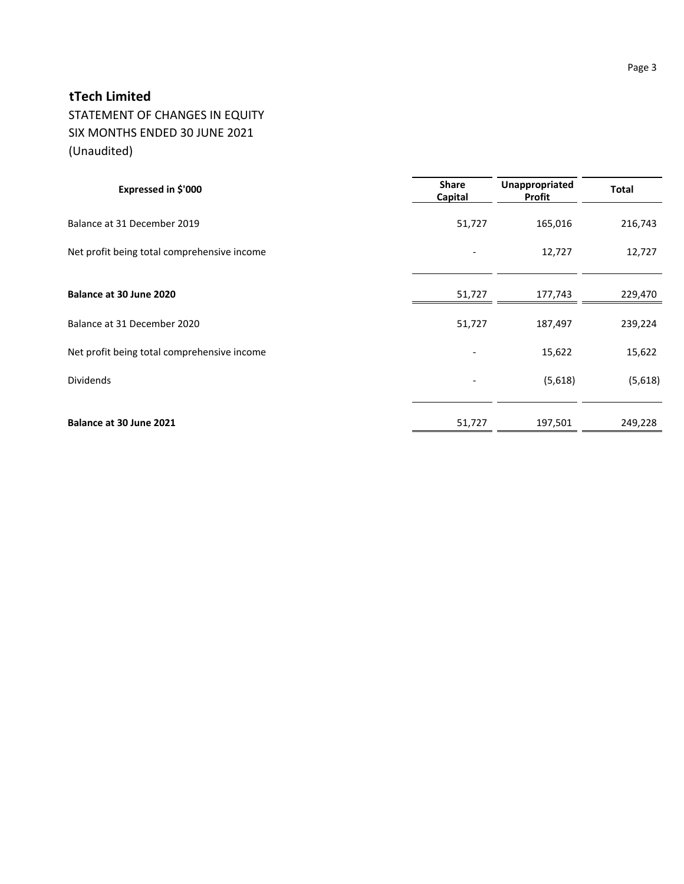STATEMENT OF CHANGES IN EQUITY SIX MONTHS ENDED 30 JUNE 2021 (Unaudited)

| Expressed in \$'000                         | <b>Share</b><br>Capital | Unappropriated<br>Profit | <b>Total</b> |
|---------------------------------------------|-------------------------|--------------------------|--------------|
| Balance at 31 December 2019                 | 51,727                  | 165,016                  | 216,743      |
| Net profit being total comprehensive income |                         | 12,727                   | 12,727       |
|                                             |                         |                          |              |
| Balance at 30 June 2020                     | 51,727                  | 177,743                  | 229,470      |
| Balance at 31 December 2020                 | 51,727                  | 187,497                  | 239,224      |
| Net profit being total comprehensive income |                         | 15,622                   | 15,622       |
| <b>Dividends</b>                            |                         | (5,618)                  | (5,618)      |
|                                             |                         |                          |              |
| Balance at 30 June 2021                     | 51,727                  | 197,501                  | 249,228      |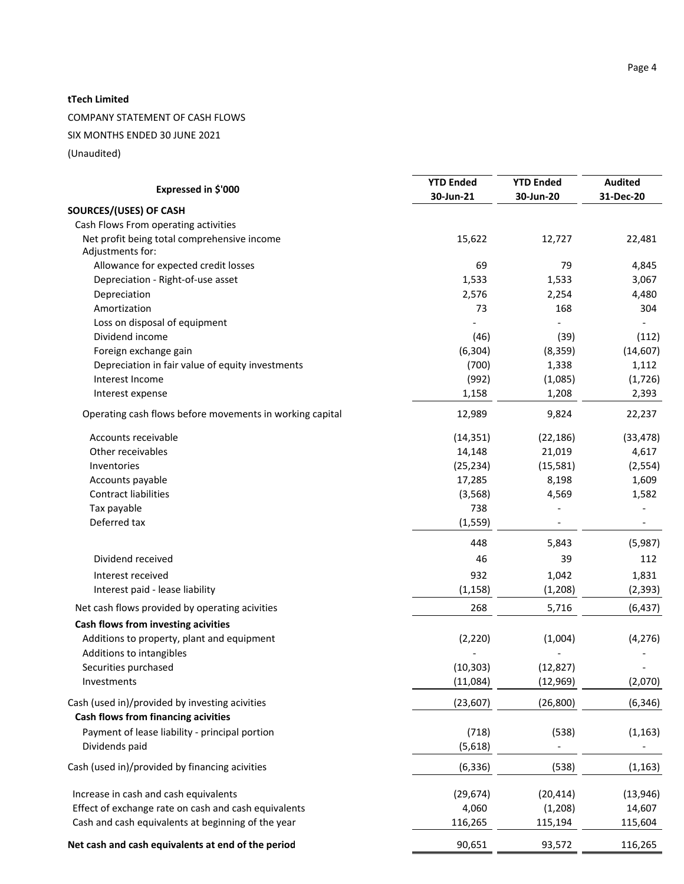COMPANY STATEMENT OF CASH FLOWS

SIX MONTHS ENDED 30 JUNE 2021

(Unaudited)

|                                                                 | <b>YTD Ended</b> | <b>YTD Ended</b> | <b>Audited</b> |
|-----------------------------------------------------------------|------------------|------------------|----------------|
| Expressed in \$'000                                             | 30-Jun-21        | 30-Jun-20        | 31-Dec-20      |
| SOURCES/(USES) OF CASH                                          |                  |                  |                |
| Cash Flows From operating activities                            |                  |                  |                |
| Net profit being total comprehensive income<br>Adjustments for: | 15,622           | 12,727           | 22,481         |
| Allowance for expected credit losses                            | 69               | 79               | 4,845          |
| Depreciation - Right-of-use asset                               | 1,533            | 1,533            | 3,067          |
| Depreciation                                                    | 2,576            | 2,254            | 4,480          |
| Amortization                                                    | 73               | 168              | 304            |
| Loss on disposal of equipment                                   |                  |                  |                |
| Dividend income                                                 | (46)             | (39)             | (112)          |
| Foreign exchange gain                                           | (6, 304)         | (8, 359)         | (14, 607)      |
| Depreciation in fair value of equity investments                | (700)            | 1,338            | 1,112          |
| Interest Income                                                 | (992)            | (1,085)          | (1,726)        |
| Interest expense                                                | 1,158            | 1,208            | 2,393          |
| Operating cash flows before movements in working capital        | 12,989           | 9,824            | 22,237         |
| Accounts receivable                                             | (14, 351)        | (22, 186)        | (33, 478)      |
| Other receivables                                               | 14,148           | 21,019           | 4,617          |
| Inventories                                                     | (25, 234)        | (15, 581)        | (2, 554)       |
| Accounts payable                                                | 17,285           | 8,198            | 1,609          |
| <b>Contract liabilities</b>                                     | (3, 568)         | 4,569            | 1,582          |
| Tax payable                                                     | 738              |                  |                |
| Deferred tax                                                    | (1, 559)         |                  |                |
|                                                                 | 448              | 5,843            | (5,987)        |
| Dividend received                                               | 46               | 39               | 112            |
| Interest received                                               | 932              | 1,042            | 1,831          |
| Interest paid - lease liability                                 | (1, 158)         | (1, 208)         | (2, 393)       |
| Net cash flows provided by operating acivities                  | 268              | 5,716            | (6, 437)       |
|                                                                 |                  |                  |                |
| Cash flows from investing acivities                             |                  |                  |                |
| Additions to property, plant and equipment                      | (2, 220)         | (1,004)          | (4, 276)       |
| Additions to intangibles                                        |                  |                  |                |
| Securities purchased                                            | (10, 303)        | (12, 827)        |                |
| Investments                                                     | (11,084)         | (12, 969)        | (2,070)        |
| Cash (used in)/provided by investing acivities                  | (23, 607)        | (26, 800)        | (6, 346)       |
| Cash flows from financing acivities                             |                  |                  |                |
| Payment of lease liability - principal portion                  | (718)            | (538)            | (1, 163)       |
| Dividends paid                                                  | (5,618)          |                  |                |
| Cash (used in)/provided by financing acivities                  | (6, 336)         | (538)            | (1, 163)       |
| Increase in cash and cash equivalents                           | (29, 674)        | (20, 414)        | (13, 946)      |
| Effect of exchange rate on cash and cash equivalents            | 4,060            | (1,208)          | 14,607         |
| Cash and cash equivalents at beginning of the year              | 116,265          | 115,194          | 115,604        |
|                                                                 |                  |                  |                |
| Net cash and cash equivalents at end of the period              | 90,651           | 93,572           | 116,265        |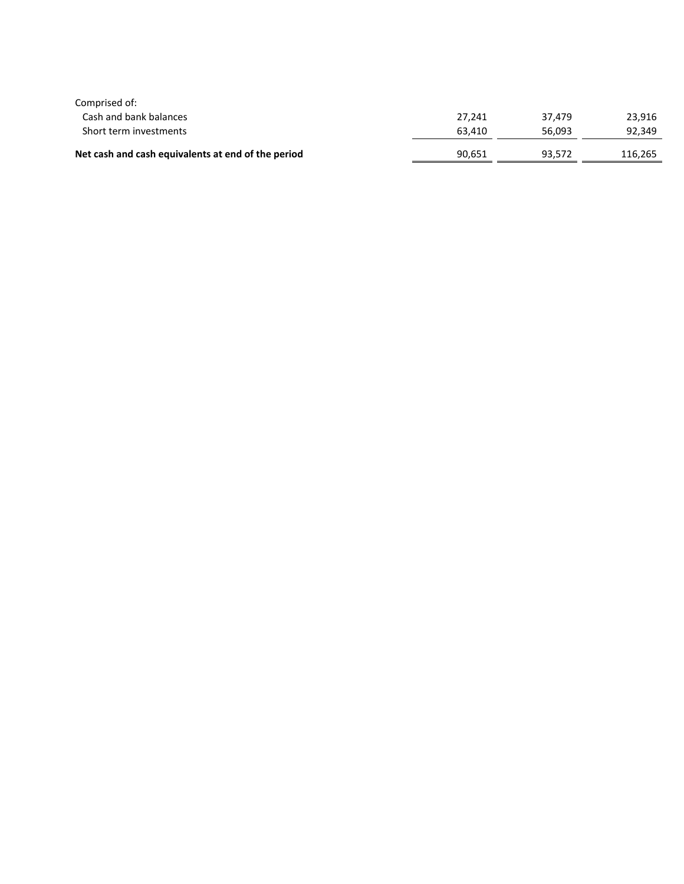| Comprised of:                                      |        |        |         |
|----------------------------------------------------|--------|--------|---------|
| Cash and bank balances                             | 27.241 | 37.479 | 23.916  |
| Short term investments                             | 63.410 | 56.093 | 92,349  |
| Net cash and cash equivalents at end of the period | 90,651 | 93,572 | 116.265 |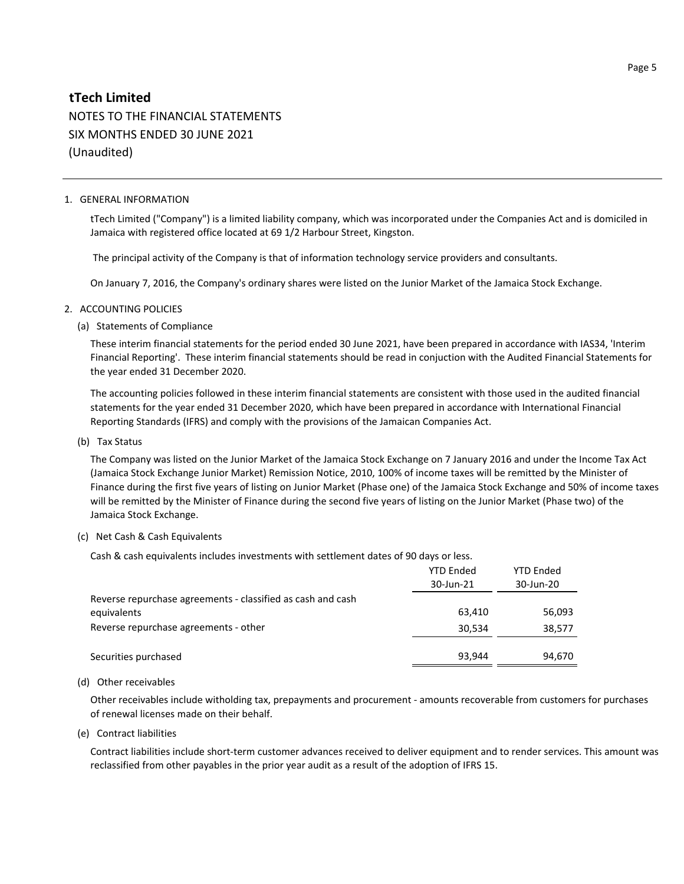# **tTech Limited** NOTES TO THE FINANCIAL STATEMENTS SIX MONTHS ENDED 30 JUNE 2021 (Unaudited)

#### 1. GENERAL INFORMATION

tTech Limited ("Company") is a limited liability company, which was incorporated under the Companies Act and is domiciled in Jamaica with registered office located at 69 1/2 Harbour Street, Kingston.

The principal activity of the Company is that of information technology service providers and consultants.

On January 7, 2016, the Company's ordinary shares were listed on the Junior Market of the Jamaica Stock Exchange.

#### 2. ACCOUNTING POLICIES

(a) Statements of Compliance

These interim financial statements for the period ended 30 June 2021, have been prepared in accordance with IAS34, 'Interim Financial Reporting'. These interim financial statements should be read in conjuction with the Audited Financial Statements for the year ended 31 December 2020.

The accounting policies followed in these interim financial statements are consistent with those used in the audited financial statements for the year ended 31 December 2020, which have been prepared in accordance with International Financial Reporting Standards (IFRS) and comply with the provisions of the Jamaican Companies Act.

(b) Tax Status

The Company was listed on the Junior Market of the Jamaica Stock Exchange on 7 January 2016 and under the Income Tax Act (Jamaica Stock Exchange Junior Market) Remission Notice, 2010, 100% of income taxes will be remitted by the Minister of Finance during the first five years of listing on Junior Market (Phase one) of the Jamaica Stock Exchange and 50% of income taxes will be remitted by the Minister of Finance during the second five years of listing on the Junior Market (Phase two) of the Jamaica Stock Exchange.

#### (c) Net Cash & Cash Equivalents

Cash & cash equivalents includes investments with settlement dates of 90 days or less.

|                                                             | <b>YTD Ended</b><br>30-Jun-21 | <b>YTD Ended</b><br>30-Jun-20 |
|-------------------------------------------------------------|-------------------------------|-------------------------------|
| Reverse repurchase agreements - classified as cash and cash |                               |                               |
| equivalents                                                 | 63.410                        | 56,093                        |
| Reverse repurchase agreements - other                       | 30,534                        | 38,577                        |
|                                                             |                               |                               |
| Securities purchased                                        | 93.944                        | 94,670                        |

#### (d) Other receivables

Other receivables include witholding tax, prepayments and procurement - amounts recoverable from customers for purchases of renewal licenses made on their behalf.

(e) Contract liabilities

Contract liabilities include short-term customer advances received to deliver equipment and to render services. This amount was reclassified from other payables in the prior year audit as a result of the adoption of IFRS 15.